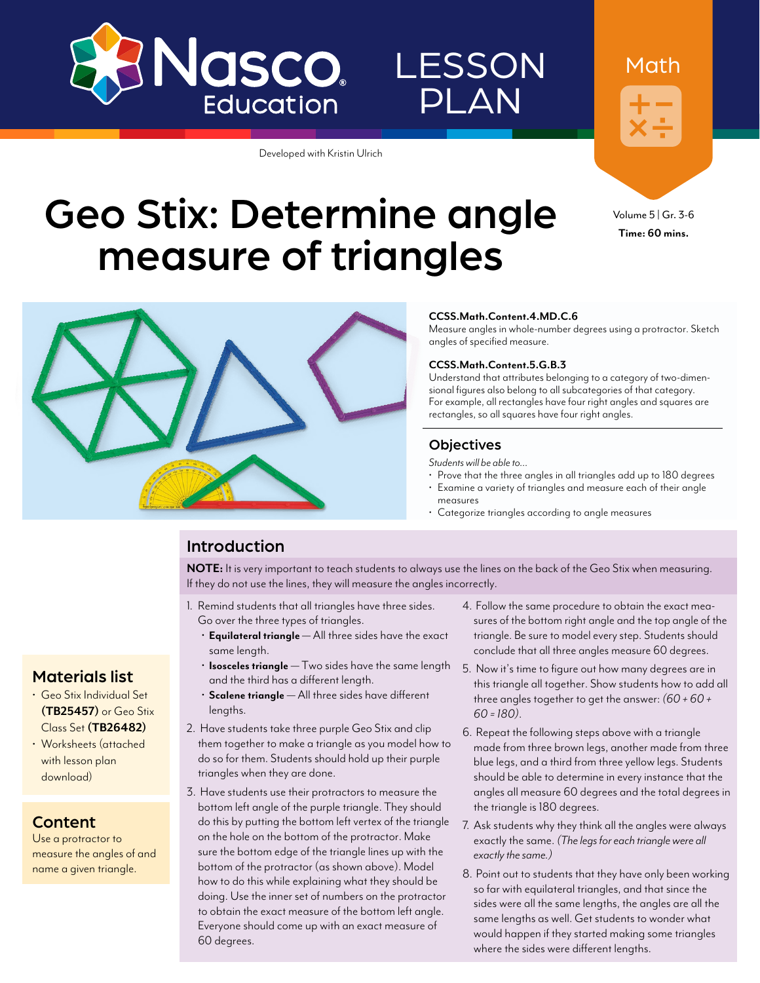

# **LESSON** PLAN

Developed with Kristin Ulrich

Geo Stix: Determine angle

measure of triangles



Math

Volume 5 | Gr. 3-6 **Time: 60 mins.**



#### **CCSS.Math.Content.4.MD.C.6**

Measure angles in whole-number degrees using a protractor. Sketch angles of specified measure.

#### **CCSS.Math.Content.5.G.B.3**

Understand that attributes belonging to a category of two-dimensional figures also belong to all subcategories of that category. For example, all rectangles have four right angles and squares are rectangles, so all squares have four right angles.

### **Objectives**

*Students will be able to…*

- Prove that the three angles in all triangles add up to 180 degrees
- Examine a variety of triangles and measure each of their angle measures
- Categorize triangles according to angle measures

## Introduction

**NOTE:** It is very important to teach students to always use the lines on the back of the Geo Stix when measuring. If they do not use the lines, they will measure the angles incorrectly.

- 1. Remind students that all triangles have three sides. Go over the three types of triangles.
	- **Equilateral triangle**  All three sides have the exact same length.
	- **Isosceles triangle** Two sides have the same length and the third has a different length.
	- **Scalene triangle** All three sides have different lengths.
- 2. Have students take three purple Geo Stix and clip them together to make a triangle as you model how to do so for them. Students should hold up their purple triangles when they are done.
- 3. Have students use their protractors to measure the bottom left angle of the purple triangle. They should do this by putting the bottom left vertex of the triangle on the hole on the bottom of the protractor. Make sure the bottom edge of the triangle lines up with the bottom of the protractor (as shown above). Model how to do this while explaining what they should be doing. Use the inner set of numbers on the protractor to obtain the exact measure of the bottom left angle. Everyone should come up with an exact measure of 60 degrees.
- 4. Follow the same procedure to obtain the exact measures of the bottom right angle and the top angle of the triangle. Be sure to model every step. Students should conclude that all three angles measure 60 degrees.
- 5. Now it's time to figure out how many degrees are in this triangle all together. Show students how to add all three angles together to get the answer: *(60 + 60 + 60 = 180)*.
- 6. Repeat the following steps above with a triangle made from three brown legs, another made from three blue legs, and a third from three yellow legs. Students should be able to determine in every instance that the angles all measure 60 degrees and the total degrees in the triangle is 180 degrees.
- 7. Ask students why they think all the angles were always exactly the same. *(The legs for each triangle were all exactly the same.)*
- 8. Point out to students that they have only been working so far with equilateral triangles, and that since the sides were all the same lengths, the angles are all the same lengths as well. Get students to wonder what would happen if they started making some triangles where the sides were different lengths.

### Materials list

- Geo Stix Individual Set **([TB25457](http://www.enasco.com/p/TB25457))** or Geo Stix Class Set **[\(TB26482](http://www.enasco.com/p/TB26482))**
- Worksheets (attached with lesson plan download)

## Content

Use a protractor to measure the angles of and name a given triangle.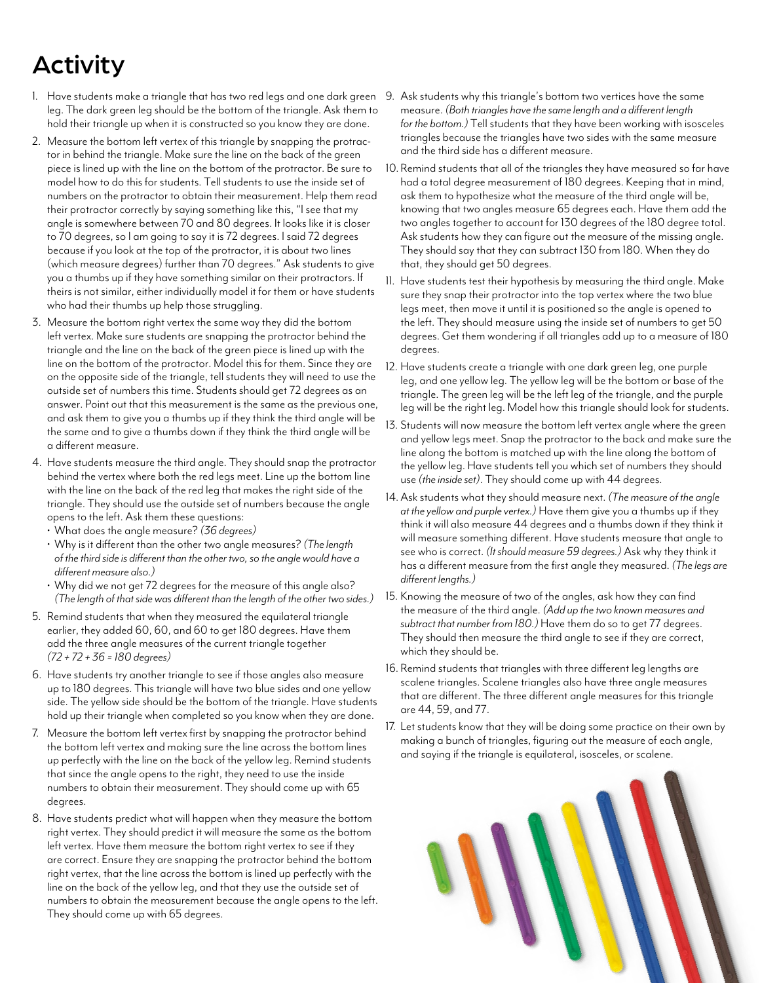# Activity

- 1. Have students make a triangle that has two red legs and one dark green leg. The dark green leg should be the bottom of the triangle. Ask them to hold their triangle up when it is constructed so you know they are done.
- 2. Measure the bottom left vertex of this triangle by snapping the protractor in behind the triangle. Make sure the line on the back of the green piece is lined up with the line on the bottom of the protractor. Be sure to model how to do this for students. Tell students to use the inside set of numbers on the protractor to obtain their measurement. Help them read their protractor correctly by saying something like this, "I see that my angle is somewhere between 70 and 80 degrees. It looks like it is closer to 70 degrees, so I am going to say it is 72 degrees. I said 72 degrees because if you look at the top of the protractor, it is about two lines (which measure degrees) further than 70 degrees." Ask students to give you a thumbs up if they have something similar on their protractors. If theirs is not similar, either individually model it for them or have students who had their thumbs up help those struggling.
- 3. Measure the bottom right vertex the same way they did the bottom left vertex. Make sure students are snapping the protractor behind the triangle and the line on the back of the green piece is lined up with the line on the bottom of the protractor. Model this for them. Since they are on the opposite side of the triangle, tell students they will need to use the outside set of numbers this time. Students should get 72 degrees as an answer. Point out that this measurement is the same as the previous one, and ask them to give you a thumbs up if they think the third angle will be the same and to give a thumbs down if they think the third angle will be a different measure.
- 4. Have students measure the third angle. They should snap the protractor behind the vertex where both the red legs meet. Line up the bottom line with the line on the back of the red leg that makes the right side of the triangle. They should use the outside set of numbers because the angle opens to the left. Ask them these questions:
	- What does the angle measure? *(36 degrees)*
	- Why is it different than the other two angle measures? *(The length of the third side is different than the other two, so the angle would have a different measure also.)*
	- Why did we not get 72 degrees for the measure of this angle also? *(The length of that side was different than the length of the other two sides.)*
- 5. Remind students that when they measured the equilateral triangle earlier, they added 60, 60, and 60 to get 180 degrees. Have them add the three angle measures of the current triangle together *(72 + 72 + 36 = 180 degrees)*
- 6. Have students try another triangle to see if those angles also measure up to 180 degrees. This triangle will have two blue sides and one yellow side. The yellow side should be the bottom of the triangle. Have students hold up their triangle when completed so you know when they are done.
- 7. Measure the bottom left vertex first by snapping the protractor behind the bottom left vertex and making sure the line across the bottom lines up perfectly with the line on the back of the yellow leg. Remind students that since the angle opens to the right, they need to use the inside numbers to obtain their measurement. They should come up with 65 degrees.
- 8. Have students predict what will happen when they measure the bottom right vertex. They should predict it will measure the same as the bottom left vertex. Have them measure the bottom right vertex to see if they are correct. Ensure they are snapping the protractor behind the bottom right vertex, that the line across the bottom is lined up perfectly with the line on the back of the yellow leg, and that they use the outside set of numbers to obtain the measurement because the angle opens to the left. They should come up with 65 degrees.
- 9. Ask students why this triangle's bottom two vertices have the same measure. *(Both triangles have the same length and a different length for the bottom.)* Tell students that they have been working with isosceles triangles because the triangles have two sides with the same measure and the third side has a different measure.
- 10. Remind students that all of the triangles they have measured so far have had a total degree measurement of 180 degrees. Keeping that in mind, ask them to hypothesize what the measure of the third angle will be, knowing that two angles measure 65 degrees each. Have them add the two angles together to account for 130 degrees of the 180 degree total. Ask students how they can figure out the measure of the missing angle. They should say that they can subtract 130 from 180. When they do that, they should get 50 degrees.
- 11. Have students test their hypothesis by measuring the third angle. Make sure they snap their protractor into the top vertex where the two blue legs meet, then move it until it is positioned so the angle is opened to the left. They should measure using the inside set of numbers to get 50 degrees. Get them wondering if all triangles add up to a measure of 180 degrees.
- 12. Have students create a triangle with one dark green leg, one purple leg, and one yellow leg. The yellow leg will be the bottom or base of the triangle. The green leg will be the left leg of the triangle, and the purple leg will be the right leg. Model how this triangle should look for students.
- 13. Students will now measure the bottom left vertex angle where the green and yellow legs meet. Snap the protractor to the back and make sure the line along the bottom is matched up with the line along the bottom of the yellow leg. Have students tell you which set of numbers they should use *(the inside set)*. They should come up with 44 degrees.
- 14.Ask students what they should measure next. *(The measure of the angle at the yellow and purple vertex.)* Have them give you a thumbs up if they think it will also measure 44 degrees and a thumbs down if they think it will measure something different. Have students measure that angle to see who is correct. *(It should measure 59 degrees.)* Ask why they think it has a different measure from the first angle they measured. *(The legs are different lengths.)*
- 15. Knowing the measure of two of the angles, ask how they can find the measure of the third angle. *(Add up the two known measures and subtract that number from 180.)* Have them do so to get 77 degrees. They should then measure the third angle to see if they are correct, which they should be.
- 16. Remind students that triangles with three different leg lengths are scalene triangles. Scalene triangles also have three angle measures that are different. The three different angle measures for this triangle are 44, 59, and 77.
- 17. Let students know that they will be doing some practice on their own by making a bunch of triangles, figuring out the measure of each angle, and saying if the triangle is equilateral, isosceles, or scalene.

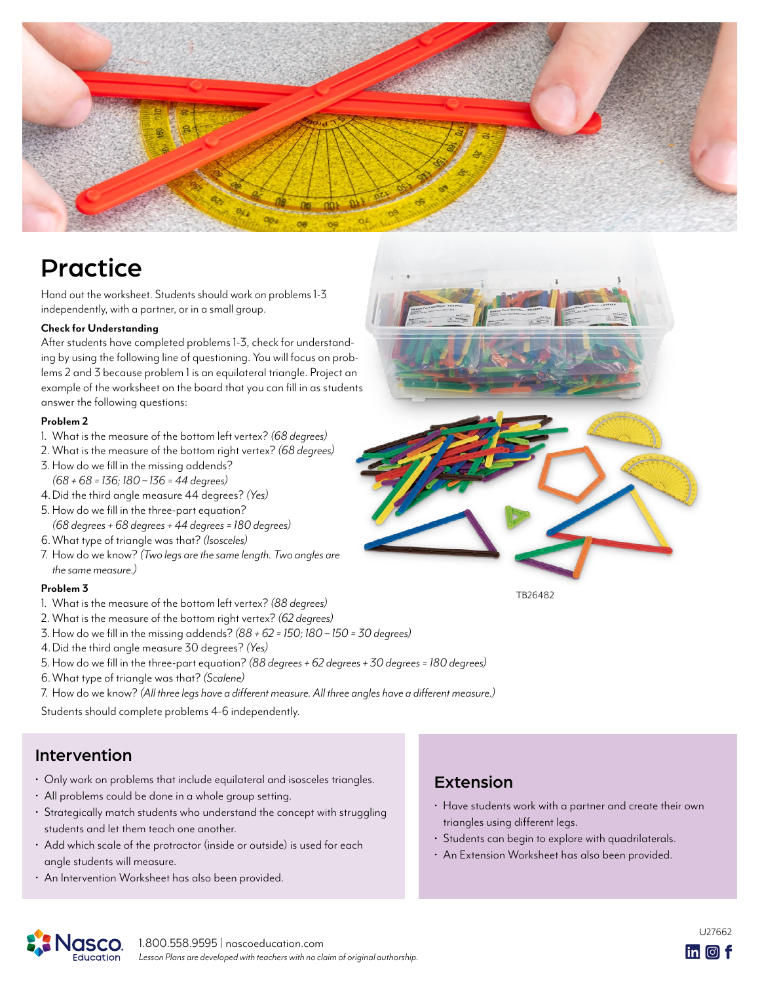

# **Practice**

Hand out the worksheet. Students should work on problems 1-3 independently, with a partner, or in a small group.

#### **Check for Understanding**

After students have completed problems 1-3, check for understanding by using the following line of questioning. You will focus on problems 2 and 3 because problem 1 is an equilateral triangle. Project an example of the worksheet on the board that you can fill in as students answer the following questions:

#### **Problem 2**

- 1. What is the measure of the bottom left vertex? *(68 degrees)*
- 2. What is the measure of the bottom right vertex? *(68 degrees)*
- 3.How do we fill in the missing addends? *(68 + 68 = 136; 180 – 136 = 44 degrees)*
- 4.Did the third angle measure 44 degrees? *(Yes)*
- 5.How do we fill in the three-part equation? *(68 degrees + 68 degrees + 44 degrees = 180 degrees)*
- 6.What type of triangle was that? *(Isosceles)*
- 7. How do we know? *(Two legs are the same length. Two angles are the same measure.)*

#### **Problem 3**

- 1. What is the measure of the bottom left vertex? *(88 degrees)*
- 2. What is the measure of the bottom right vertex? *(62 degrees)*
- 3.How do we fill in the missing addends? *(88 + 62 = 150; 180 150 = 30 degrees)*
- 4.Did the third angle measure 30 degrees? *(Yes)*
- 5.How do we fill in the three-part equation? *(88 degrees + 62 degrees + 30 degrees = 180 degrees)*
- 6.What type of triangle was that? *(Scalene)*
- 7. How do we know? *(All three legs have a different measure. All three angles have a different measure.)*

Students should complete problems 4-6 independently.

## Intervention

- Only work on problems that include equilateral and isosceles triangles.
- All problems could be done in a whole group setting.
- Strategically match students who understand the concept with struggling students and let them teach one another.
- Add which scale of the protractor (inside or outside) is used for each angle students will measure.
- An Intervention Worksheet has also been provided.

# Extension

- Have students work with a partner and create their own triangles using different legs.
- Students can begin to explore with quadrilaterals.

[TB26482](http://www.enasco.com/p/TB26482)

• An Extension Worksheet has also been provided.

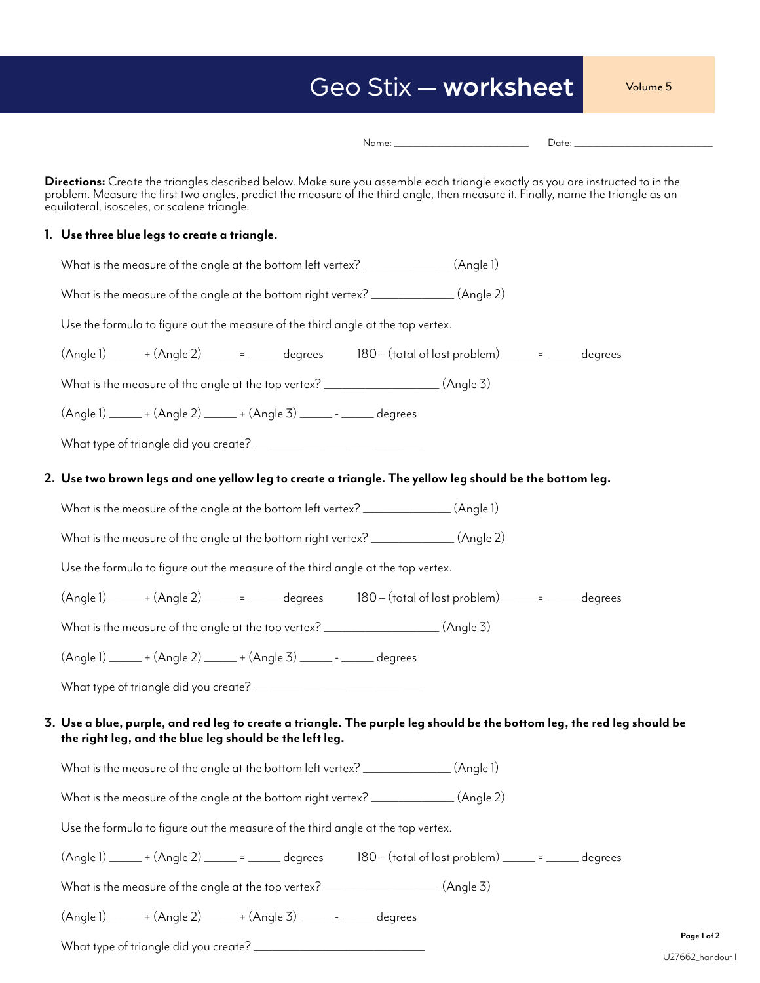# Geo Stix — worksheet

Volume 5

|--|--|

**Directions:** Create the triangles described below. Make sure you assemble each triangle exactly as you are instructed to in the problem. Measure the first two angles, predict the measure of the third angle, then measure it. Finally, name the triangle as an equilateral, isosceles, or scalene triangle.

### **1. Use three blue legs to create a triangle.**

| What is the measure of the angle at the bottom left vertex? _______________(Angle 1)                                                                                                       |
|--------------------------------------------------------------------------------------------------------------------------------------------------------------------------------------------|
| What is the measure of the angle at the bottom right vertex? ______________(Angle 2)                                                                                                       |
| Use the formula to figure out the measure of the third angle at the top vertex.                                                                                                            |
| $(A \cap B)$ + $(A \cap B)$ = = degrees 180 - $($ total of last problem) = = degrees                                                                                                       |
| What is the measure of the angle at the top vertex? __________________(Angle 3)                                                                                                            |
| $(Angle 1)$ $\underline{\hspace{1cm}}$ + $(Angle 2)$ $\underline{\hspace{1cm}}$ + $(Angle 3)$ $\underline{\hspace{1cm}}$ - $\underline{\hspace{1cm}}$ - $\underline{\hspace{1cm}}$ degrees |
|                                                                                                                                                                                            |
| 2.  Use two brown legs and one yellow leg to create a triangle. The yellow leg should be the bottom leg.                                                                                   |
| What is the measure of the angle at the bottom left vertex? ______________(Angle 1)                                                                                                        |
| What is the measure of the angle at the bottom right vertex? ______________(Angle 2)                                                                                                       |
| Use the formula to figure out the measure of the third angle at the top vertex.                                                                                                            |
| $(Angle 1)$ $+ (Angle 2)$ $ =$ $-$ degrees $180 - (total of last problem)$ $ =$ $-$ degrees                                                                                                |
| What is the measure of the angle at the top vertex? __________________(Angle 3)                                                                                                            |
| (Angle 1) ______ + (Angle 2) _____ + (Angle 3) ______ - ______ degrees                                                                                                                     |
|                                                                                                                                                                                            |
| 3. Use a blue, purple, and red leg to create a triangle. The purple leg should be the bottom leg, the red leg should be                                                                    |
| the right leg, and the blue leg should be the left leg.                                                                                                                                    |
| What is the measure of the angle at the bottom left vertex? _______________(Angle 1)                                                                                                       |
| What is the measure of the angle at the bottom right vertex? ______________(Angle 2)                                                                                                       |
| Use the formula to figure out the measure of the third angle at the top vertex.                                                                                                            |
| $(A \cap B)$ $\_\_\_ + (A \cap B)$ $\_\_\_\_\_\_\_\_\_\_\_\_\_\_\_\_\_\_\_\_\_\_\_\_$                                                                                                      |
| What is the measure of the angle at the top vertex? __________________(Angle 3)                                                                                                            |
| (Angle 1) ______ + (Angle 2) ______ + (Angle 3) ______ - ______ degrees                                                                                                                    |
| Page 1 of 2                                                                                                                                                                                |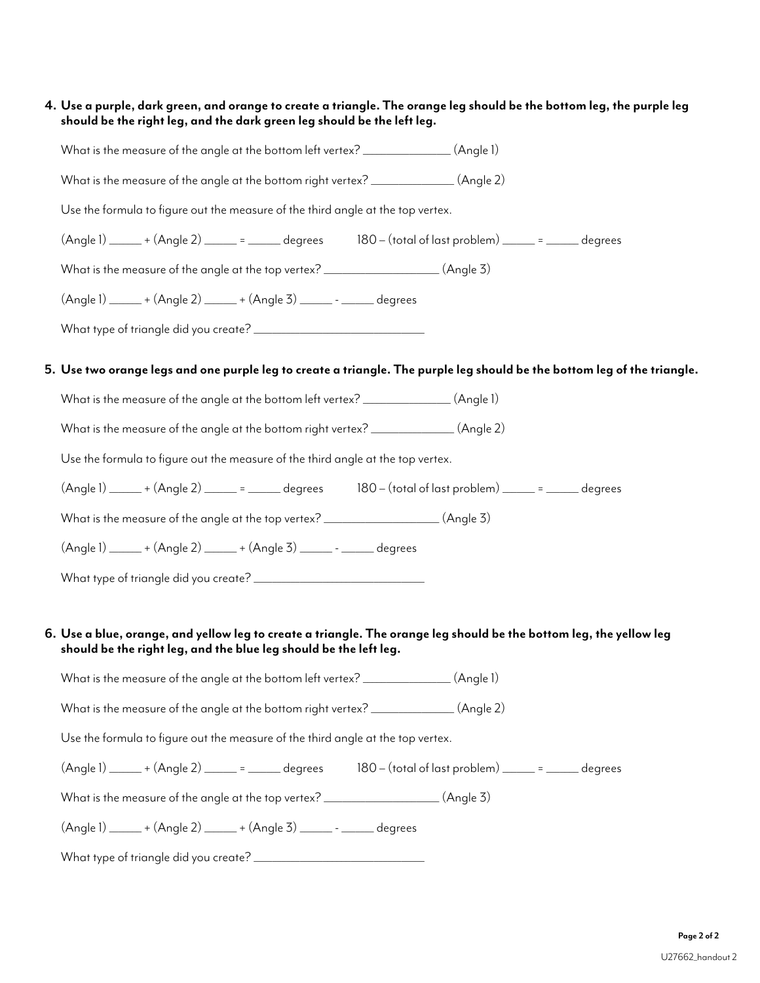### **4. Use a purple, dark green, and orange to create a triangle. The orange leg should be the bottom leg, the purple leg should be the right leg, and the dark green leg should be the left leg.**

| What is the measure of the angle at the bottom left vertex? _______________(Angle 1)                                                                                                                                                                                                                                                                        |  |  |
|-------------------------------------------------------------------------------------------------------------------------------------------------------------------------------------------------------------------------------------------------------------------------------------------------------------------------------------------------------------|--|--|
| What is the measure of the angle at the bottom right vertex? _____________(Angle 2)                                                                                                                                                                                                                                                                         |  |  |
| Use the formula to figure out the measure of the third angle at the top vertex.                                                                                                                                                                                                                                                                             |  |  |
| $(Angle 1)$ $+ (Angle 2)$ $ =$ $-$ degrees $180 - (total of last problem)$ $ =$ $-$ degrees                                                                                                                                                                                                                                                                 |  |  |
| What is the measure of the angle at the top vertex? __________________(Angle 3)                                                                                                                                                                                                                                                                             |  |  |
| $(Angle 1)$ $\underline{\hspace{1cm}}$ + $(Angle 2)$ $\underline{\hspace{1cm}}$ + $(Angle 3)$ $\underline{\hspace{1cm}}$ - $\underline{\hspace{1cm}}$ - $\underline{\hspace{1cm}}$ degrees                                                                                                                                                                  |  |  |
|                                                                                                                                                                                                                                                                                                                                                             |  |  |
| 5. Use two orange legs and one purple leg to create a triangle. The purple leg should be the bottom leg of the triangle.                                                                                                                                                                                                                                    |  |  |
| What is the measure of the angle at the bottom left vertex? _______________(Angle 1)                                                                                                                                                                                                                                                                        |  |  |
|                                                                                                                                                                                                                                                                                                                                                             |  |  |
| What is the measure of the angle at the bottom right vertex? _____________(Angle 2)                                                                                                                                                                                                                                                                         |  |  |
| Use the formula to figure out the measure of the third angle at the top vertex.                                                                                                                                                                                                                                                                             |  |  |
| $(Angle 1)$ $+ (Angle 2)$ $=$ $ =$ $degrees$ $180 - (total of last problem)$ $=$ $ =$ $degrees$                                                                                                                                                                                                                                                             |  |  |
| What is the measure of the angle at the top vertex? __________________(Angle 3)                                                                                                                                                                                                                                                                             |  |  |
| $(Angle 1)$ $\underline{\hspace{1cm}}$ + $(Angle 2)$ $\underline{\hspace{1cm}}$ + $(Angle 3)$ $\underline{\hspace{1cm}}$ - $\underline{\hspace{1cm}}$ degrees                                                                                                                                                                                               |  |  |
|                                                                                                                                                                                                                                                                                                                                                             |  |  |
|                                                                                                                                                                                                                                                                                                                                                             |  |  |
| 6. Use a blue, orange, and yellow leg to create a triangle. The orange leg should be the bottom leg, the yellow leg                                                                                                                                                                                                                                         |  |  |
| should be the right leg, and the blue leg should be the left leg.                                                                                                                                                                                                                                                                                           |  |  |
| What is the measure of the angle at the bottom left vertex? _______________(Angle 1)                                                                                                                                                                                                                                                                        |  |  |
| What is the measure of the angle at the bottom right vertex? ______________(Angle 2)                                                                                                                                                                                                                                                                        |  |  |
| Use the formula to figure out the measure of the third angle at the top vertex.                                                                                                                                                                                                                                                                             |  |  |
| $(A \cap B)$ $(0.4)$ $(A \cap B)$ $(0.4)$ $(A \cap B)$ $(0.4)$ $(A \cap B)$ $(B \cap C)$ $(B \cap C)$ $(B \cap C)$ $(B \cap C)$ $(B \cap C)$ $(B \cap C)$ $(B \cap C)$ $(B \cap C)$ $(B \cap C)$ $(B \cap C)$ $(B \cap C)$ $(B \cap C)$ $(B \cap C)$ $(B \cap C)$ $(B \cap C)$ $(B \cap C)$ $(B \cap C)$ $(B \cap C)$ $(B \cap C)$ $(C \cap C)$ $(C \cap C$ |  |  |
| What is the measure of the angle at the top vertex? __________________(Angle 3)                                                                                                                                                                                                                                                                             |  |  |
| $(A \cap B)$ + $(A \cap B)$ + $(A \cap B)$ + $(A \cap B)$ + $(A \cap B)$ + $(A \cap B)$ + $(A \cap B)$                                                                                                                                                                                                                                                      |  |  |
|                                                                                                                                                                                                                                                                                                                                                             |  |  |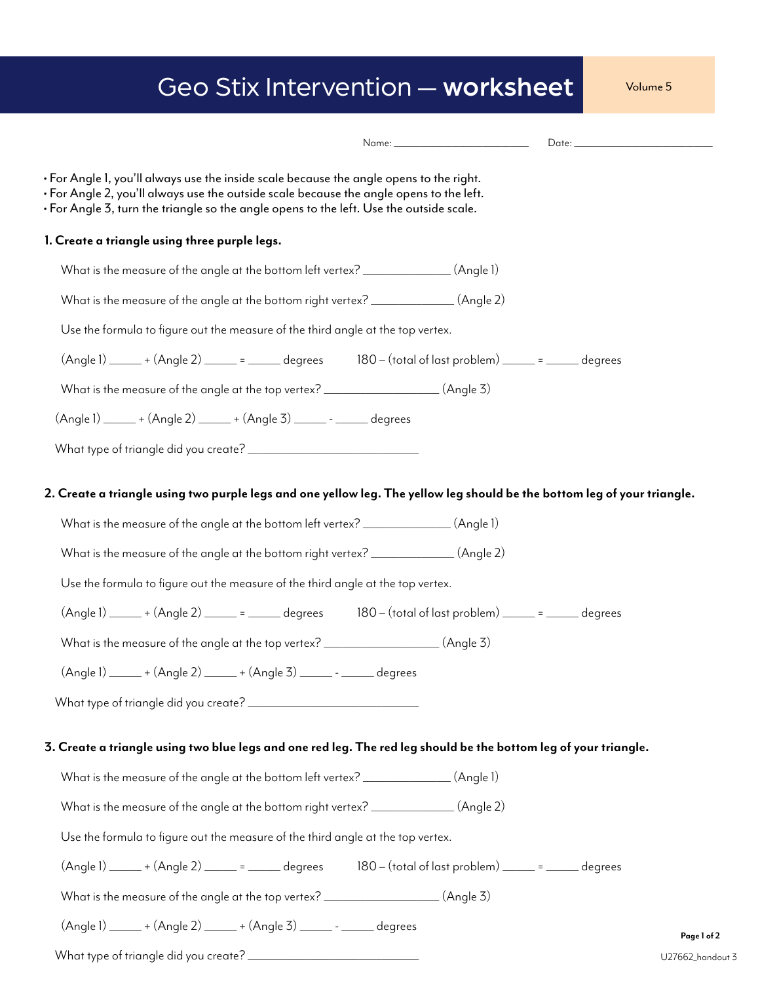|  | Geo Stix Intervention — worksheet I |  | Volume 5 |
|--|-------------------------------------|--|----------|
|--|-------------------------------------|--|----------|

| • For Angle 1, you'll always use the inside scale because the angle opens to the right.<br>• For Angle 2, you'll always use the outside scale because the angle opens to the left.<br>• For Angle 3, turn the triangle so the angle opens to the left. Use the outside scale.                                  |
|----------------------------------------------------------------------------------------------------------------------------------------------------------------------------------------------------------------------------------------------------------------------------------------------------------------|
| 1. Create a triangle using three purple legs.                                                                                                                                                                                                                                                                  |
| What is the measure of the angle at the bottom left vertex? ______________(Angle 1)                                                                                                                                                                                                                            |
| What is the measure of the angle at the bottom right vertex? ______________(Angle 2)                                                                                                                                                                                                                           |
| Use the formula to figure out the measure of the third angle at the top vertex.                                                                                                                                                                                                                                |
| $(A \cap B)$ $(0.4)$ $(A \cap B)$ $(0.4)$ $(A \cap B)$ $(0.4)$ $(A \cap B)$ $(0.4)$ $(A \cap B)$ $(A \cap B)$ $(0.4)$ $(A \cap B)$ $(0.4)$ $(A \cap B)$ $(0.4)$ $(A \cap B)$ $(0.4)$ $(A \cap B)$ $(0.4)$ $(A \cap B)$ $(0.4)$ $(A \cap B)$ $(0.4)$ $(A \cap B)$ $(0.4)$ $(A \cap B)$ $(A \cap B)$ $(A \cap B$ |
| What is the measure of the angle at the top vertex? __________________(Angle 3)                                                                                                                                                                                                                                |
| (Angle 1) ______ + (Angle 2) ______ + (Angle 3) ______ - ______ degrees                                                                                                                                                                                                                                        |
|                                                                                                                                                                                                                                                                                                                |
| 2. Create a triangle using two purple legs and one yellow leg. The yellow leg should be the bottom leg of your triangle.<br>What is the measure of the angle at the bottom left vertex? _______________(Angle 1)<br>What is the measure of the angle at the bottom right vertex? ______________(Angle 2)       |
| Use the formula to figure out the measure of the third angle at the top vertex.                                                                                                                                                                                                                                |
| $(Angle 1) \ \_\_+ (Angle 2) \ \_\_ = \ \_\_ \ \ \ \_\_ \ \ \_ 180 - (total of last problem) \ \_\_ = \ \_\_ \ \ \ \_\_ \ \ \_ 180$                                                                                                                                                                            |
| What is the measure of the angle at the top vertex? __________________(Angle 3)                                                                                                                                                                                                                                |
| (Angle 1) ______ + (Angle 2) ______ + (Angle 3) ______ - ______ degrees                                                                                                                                                                                                                                        |
|                                                                                                                                                                                                                                                                                                                |
| 3. Create a triangle using two blue legs and one red leg. The red leg should be the bottom leg of your triangle.                                                                                                                                                                                               |
| What is the measure of the angle at the bottom left vertex? ________________(Angle 1)                                                                                                                                                                                                                          |
| What is the measure of the angle at the bottom right vertex? ______________(Angle 2)                                                                                                                                                                                                                           |
| Use the formula to figure out the measure of the third angle at the top vertex.                                                                                                                                                                                                                                |
| $(A \cap B)$ $\qquad \qquad + (A \cap B)$ $\qquad \qquad =$ $\qquad \qquad -$ degrees $\qquad \qquad 180 - (total of last problem)$ $\qquad \qquad =$ $\qquad \qquad -$ degrees                                                                                                                                |
| What is the measure of the angle at the top vertex? ___________________(Angle 3)                                                                                                                                                                                                                               |
| (Angle 1) ______ + (Angle 2) ______ + (Angle 3) ______ - _____ degrees<br>Page 1 of 2                                                                                                                                                                                                                          |
| U27662_hando                                                                                                                                                                                                                                                                                                   |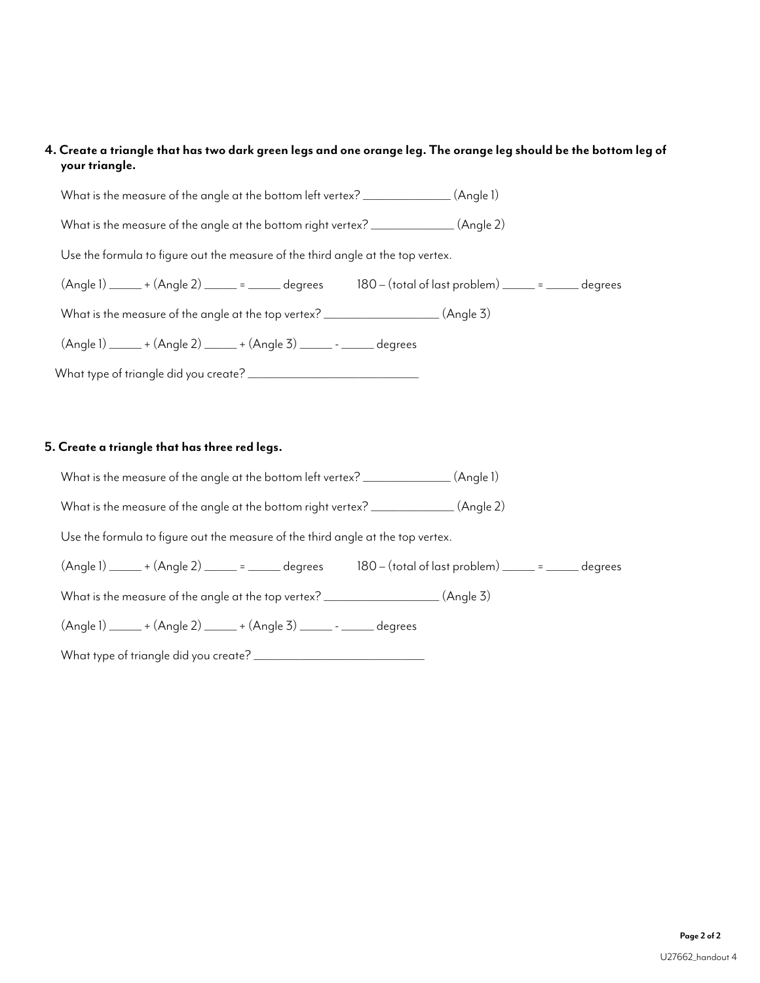### **4. Create a triangle that has two dark green legs and one orange leg. The orange leg should be the bottom leg of your triangle.**

| What is the measure of the angle at the bottom left vertex? _______________(Angle 1)                                                                                                                  |  |
|-------------------------------------------------------------------------------------------------------------------------------------------------------------------------------------------------------|--|
| What is the measure of the angle at the bottom right vertex? ______________(Angle 2)                                                                                                                  |  |
| Use the formula to figure out the measure of the third angle at the top vertex.                                                                                                                       |  |
| $(\text{Angle 1})$ $\_\_\_\_ + (\text{Angle 2})$ $\_\_\_\_\_\_\_\_\_ = \_\_\_\_\$ degrees $\_\_\_\_\_\_\_\_$ 180 $-$ (total of last problem) $\_\_\_\_\_\_\_\_\_\_\_\_\_\_\_\_\_ = \_\_\_\_\$ degrees |  |
| What is the measure of the angle at the top vertex? ___________________(Angle 3)                                                                                                                      |  |
| $(A \cap B)$ $\qquad \qquad + (A \cap B)$ $\qquad \qquad + (A \cap B)$ $\qquad \qquad - \qquad - \qquad$                                                                                              |  |
|                                                                                                                                                                                                       |  |
|                                                                                                                                                                                                       |  |

### **5. Create a triangle that has three red legs.**

What is the measure of the angle at the bottom left vertex? \_\_\_\_\_\_\_\_\_\_\_\_\_\_\_\_\_(Angle 1)

What is the measure of the angle at the bottom right vertex? \_\_\_\_\_\_\_\_\_\_\_\_\_\_\_\_\_(Angle 2)

Use the formula to figure out the measure of the third angle at the top vertex.

| (Angle 1)<br>180 – (total of last problem)<br>+ (Anale 2)<br>dearees |
|----------------------------------------------------------------------|
|----------------------------------------------------------------------|

What is the measure of the angle at the top vertex? \_\_\_\_\_\_\_\_\_\_\_\_\_\_\_\_\_\_\_\_\_\_(Angle 3)

 $(Angle 1)$   $+ (Angle 2)$   $+ (Angle 3)$   $deg$ 

What type of triangle did you create? \_\_\_\_\_\_\_\_\_\_\_\_\_\_\_\_\_\_\_\_\_\_\_\_\_\_\_\_\_\_\_\_\_\_\_\_\_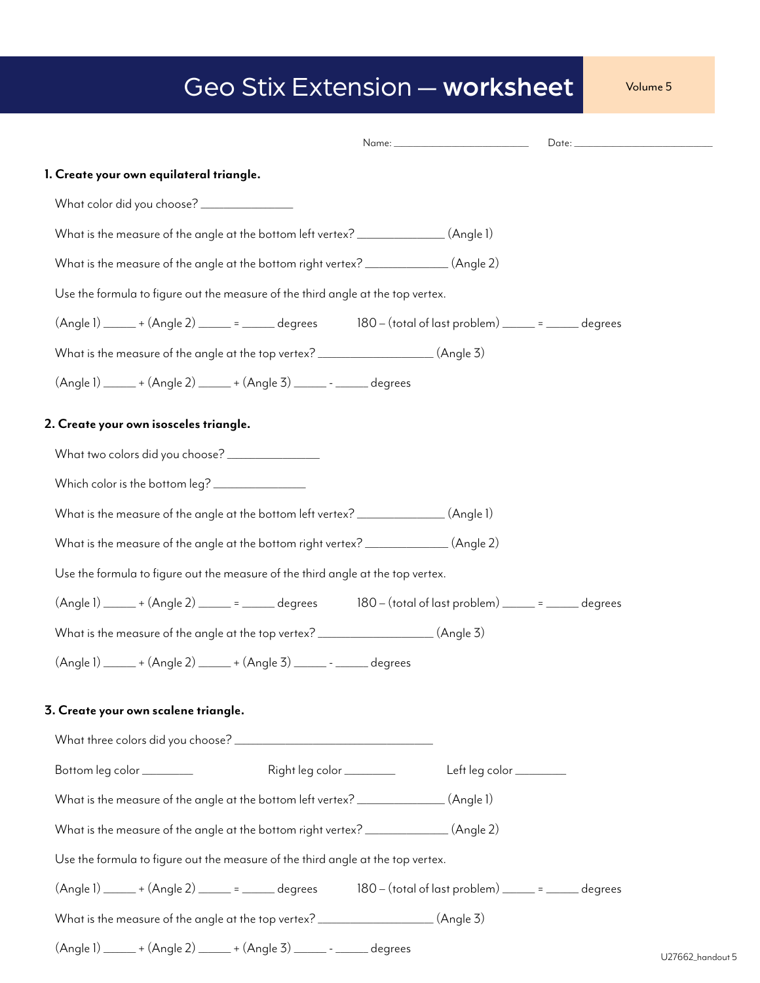# Geo Stix Extension — worksheet Volume 5

| 1. Create your own equilateral triangle.                                                                                                                                                                                                |                            |                |         |
|-----------------------------------------------------------------------------------------------------------------------------------------------------------------------------------------------------------------------------------------|----------------------------|----------------|---------|
| What color did you choose? ________________                                                                                                                                                                                             |                            |                |         |
| What is the measure of the angle at the bottom left vertex? ______________(Angle 1)                                                                                                                                                     |                            |                |         |
| What is the measure of the angle at the bottom right vertex? ______________(Angle 2)                                                                                                                                                    |                            |                |         |
| Use the formula to figure out the measure of the third angle at the top vertex.                                                                                                                                                         |                            |                |         |
| $(Angle 1)$ $\qquad \qquad +$ $(Angle 2)$ $\qquad \qquad =$ $\qquad \qquad$ degrees $\qquad \qquad 180$ - $(total of last problem)$ $\qquad \qquad =$ $\qquad \qquad$ degrees                                                           |                            |                |         |
| What is the measure of the angle at the top vertex? __________________(Angle 3)                                                                                                                                                         |                            |                |         |
| (Angle 1) ______ + (Angle 2) ______ + (Angle 3) ______ - ______ degrees                                                                                                                                                                 |                            |                |         |
| 2. Create your own isosceles triangle.                                                                                                                                                                                                  |                            |                |         |
| What two colors did you choose? _______________                                                                                                                                                                                         |                            |                |         |
| Which color is the bottom leg? ________________                                                                                                                                                                                         |                            |                |         |
| What is the measure of the angle at the bottom left vertex? ______________(Angle 1)                                                                                                                                                     |                            |                |         |
| What is the measure of the angle at the bottom right vertex? _____________(Angle 2)                                                                                                                                                     |                            |                |         |
| Use the formula to figure out the measure of the third angle at the top vertex.                                                                                                                                                         |                            |                |         |
| $(Angle 1)$ $\_\_\_$ + $(Angle 2)$ $\_\_\_\_\_$ = $\_\_\_\$ degrees $\_\_\_$ 180 - $(total of last problem)$ $\_\_\_\_\_\$ = $\_\_\_\_\$ degrees                                                                                        |                            |                |         |
| What is the measure of the angle at the top vertex? __________________(Angle 3)                                                                                                                                                         |                            |                |         |
| $(Angle 1)$ $\underline{\hspace{1cm}}$ + $(Angle 2)$ $\underline{\hspace{1cm}}$ + $(Angle 3)$ $\underline{\hspace{1cm}}$ - $\underline{\hspace{1cm}}$ degrees                                                                           |                            |                |         |
| 3. Create your own scalene triangle.                                                                                                                                                                                                    |                            |                |         |
|                                                                                                                                                                                                                                         |                            |                |         |
| Bottom leg color ________                                                                                                                                                                                                               | Right leg color __________ | Left leg color |         |
| What is the measure of the angle at the bottom left vertex? _______________(Angle 1)                                                                                                                                                    |                            |                |         |
| What is the measure of the angle at the bottom right vertex? ______________(Angle 2)                                                                                                                                                    |                            |                |         |
| Use the formula to figure out the measure of the third angle at the top vertex.                                                                                                                                                         |                            |                |         |
| $(Angle 1) \underline{\hspace{2cm}} + (Angle 2) \underline{\hspace{2cm}} = \underline{\hspace{2cm}} \text{degrees} \qquad \qquad 180-(\text{total of last problem}) \underline{\hspace{2cm}} = \underline{\hspace{2cm}} \text{degrees}$ |                            |                |         |
| What is the measure of the angle at the top vertex? __________________(Angle 3)                                                                                                                                                         |                            |                |         |
| (Angle 1) ______ + (Angle 2) ______ + (Angle 3) ______ - ______ degrees                                                                                                                                                                 |                            |                | 1127001 |